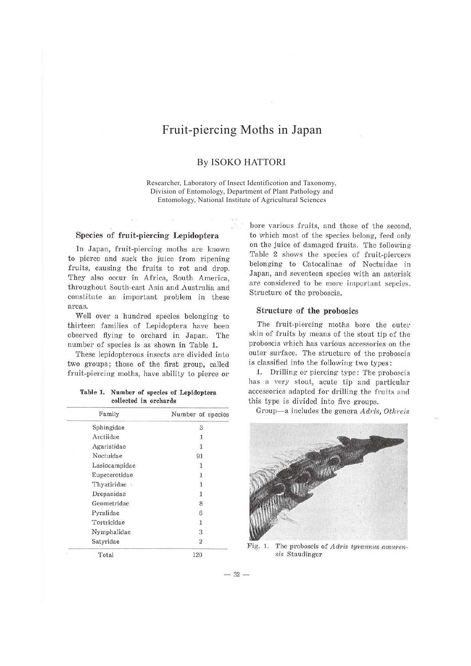# Fruit-piercing Moths in Japan

### By ISOKO HATTORI

Researcher, Laboratory of Insect Identificotion and Taxonomy, Division of Entomology, Department of Plant Pathology and Entomology, National Institute of Agricultural Sciences

### Species of fruit-piercing- Lepidoptera

In Japan, fruit-piercing moths are known to pierce and suck the juice from ripening fruits, causing the fruits to rot and drop. They also occur in Africa, South America, throughout South-east Asia and Australia and constitute an important problem in these areas.

Well over a hundred species belonging to thirteen families of Lepidoptera have been observed flying to orchard in Japan. The number of species is as shown in Table 1.

These lepidopterous insects are divided into two groups; those of the first group, called fruit-piercing moths, have ability to pierce or

**Table 1. Number of species of Lepidoptera collected in orchards** 

| Family        | Number of species |
|---------------|-------------------|
| Sphingidae    | 3                 |
| Arctiidae     | $\mathbf{1}$      |
| Agaristidae   | $\mathbf{1}$      |
| Noctuidae     | 91                |
| Lasiocampidae | 1                 |
| Eupeterotidae | 1                 |
| Thyatiridae   | $\mathbf{1}$      |
| Drepanidae    | 1                 |
| Geometridae   | 8                 |
| Pyralidae     | 6                 |
| Tortricidae   | 1                 |
| Nymphalidae   | 3                 |
| Satyridae     | $\boldsymbol{2}$  |
| Total         | 120               |

bore various fruits, and those of the second, to which most of the species belong, feed only on the juice of damaged fruits. The following Table 2 shows the species of fruit-piercers belonging to Catocalinae of Noctuidae in Japan, and seventeen species with an asterisk are considered to be more important sepcies. Structure of the proboscis.

### **Structure of the probosics**

The fruit-piercing moths bore the outer skin of fruits by means of the stout tip of the proboscis which has various accessories on the outer surface. The structure of the proboscis is classified into the following two types:

1. Drilling or piercing type: The proboscis has a very stout, acute tip and particular accessories adapted for drilling the fruits and this type is divided into five groups.

Group-a includes the genera *Adris*, Othreis



Fig. 1. The proboscis of *Adris tyrannus amurensis* Staudinger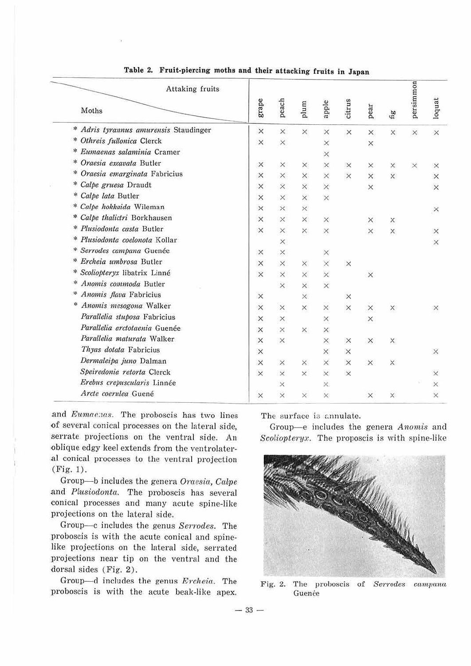| Attaking fruits<br>Moths                 | grape    | peach    | plum     | apple    | citrus   | pear     | $f_1g$   | persimmon | loquat   |  |  |
|------------------------------------------|----------|----------|----------|----------|----------|----------|----------|-----------|----------|--|--|
| Adris tyrannus amurensis Staudinger<br>* | $\times$ | $\times$ | $\times$ | $\times$ | $\times$ | ×        | ×        | ×         | $\times$ |  |  |
| ∗<br>Othreis fullonica Clerck            | $\times$ | $\times$ |          | ×        |          | ×        |          |           |          |  |  |
| *<br>Eumaenas salaminia Cramer           |          |          |          | ×        |          |          |          |           |          |  |  |
| *<br>Oraesia excavata Butler             | X        | ×        | ×        | ×        | $\times$ | ×        | X        | $\times$  | $\times$ |  |  |
| Oraesia emarginata Fabricius             | ×        | $\times$ | $\times$ | ×        | $\times$ | $\times$ | $\times$ |           | $\times$ |  |  |
| *<br>Calpe gruesa Draudt                 | ×        | $\times$ | $\times$ | $\times$ |          | $\times$ |          |           | $\times$ |  |  |
| Calpe lata Butler                        | $\times$ | $\times$ | $\times$ | $\times$ |          |          |          |           |          |  |  |
| Calpe hokkaida Wileman<br>*              | $\times$ | $\times$ | $\times$ |          |          |          |          |           | $\times$ |  |  |
| Calpe thalictri Borkhausen<br>∗          | $\times$ | $\times$ | $\times$ | ×        |          | ×        | $\times$ |           |          |  |  |
| Plusiodonta casta Butler<br>∗            | $\times$ | ×        | ×        | ×        |          | ×        | ×        |           | $\times$ |  |  |
| ∗<br>Plusiodonta coelonota Kollar        |          | ×        |          |          |          |          |          |           | $\times$ |  |  |
| ☀<br>Serrodes campana Guenée             | X        | $\times$ |          | ×        |          |          |          |           |          |  |  |
| Ercheia umbrosa Butler<br>*              | $\times$ | ×        | $\times$ | $\times$ | $\times$ |          |          |           |          |  |  |
| Scoliopteryx libatrix Linné<br>*         | $\times$ | $\times$ | $\times$ | $\times$ |          | X        |          |           |          |  |  |
| Anomis commoda Butler<br>☀               |          | $\times$ | $\times$ | $\times$ |          |          |          |           |          |  |  |
| Anomis flava Fabricius<br>楽              | X        |          | ×.       |          | $\times$ |          |          |           |          |  |  |
| ×<br>Anomis mesogona Walker              | $\times$ | $\times$ | ×        | ×        | $\times$ | $\times$ | $\times$ |           | $\times$ |  |  |
| Parallelia stuposa Fabricius             | $\times$ | X        |          | ×        |          | ×        |          |           |          |  |  |
| Parallelia arctotaenia Guenée            | X        | ×        | ×        | ×        |          |          |          |           |          |  |  |
| Parallelia maturata Walker               | X        | $\times$ |          | ×        | $\times$ | ×        | ×        |           |          |  |  |
| Thyas dotata Fabricius                   | $\times$ |          |          | $\times$ | $\times$ |          |          |           | $\times$ |  |  |
| Dermaleipa juno Dalman                   | $\times$ | $\times$ | ×        | $\times$ | $\times$ | X        | ×        |           |          |  |  |
| Speiredonia retorta Clerck               | $\times$ | $\times$ | $\times$ | $\times$ | $\times$ |          |          |           | $\times$ |  |  |
| Erebus crepuscularis Linnée              |          | $\times$ |          | $\times$ |          |          |          |           | $\times$ |  |  |
| Arcte coerulea Guené                     | $\times$ | $\times$ | ×        | ×        |          | X        | $\times$ |           | $\times$ |  |  |

## Table 2. Fruit-piercing moths and their attacking fruits in Japan

and Eumaenas. The proboscis has two lines of several conical processes on the lateral side, serrate projections on the ventral side. An oblique edgy keel extends from the ventrolateral conical processes to the ventral projection  $(Fig. 1).$ 

Group-b includes the genera Oraesia, Calpe and Plusiodonta. The proboscis has several conical processes and many acute spine-like projections on the lateral side.

Group-c includes the genus Serrodes. The proboscis is with the acute conical and spinelike projections on the lateral side, serrated projections near tip on the ventral and the dorsal sides (Fig. 2).

Group-d includes the genus Ercheia. The proboscis is with the acute beak-like apex.

The surface is annulate.

Group-e includes the genera Anomis and Scoliopteryx. The proposcis is with spine-like



Fig. 2. The proboscis of Serrodes campana Guence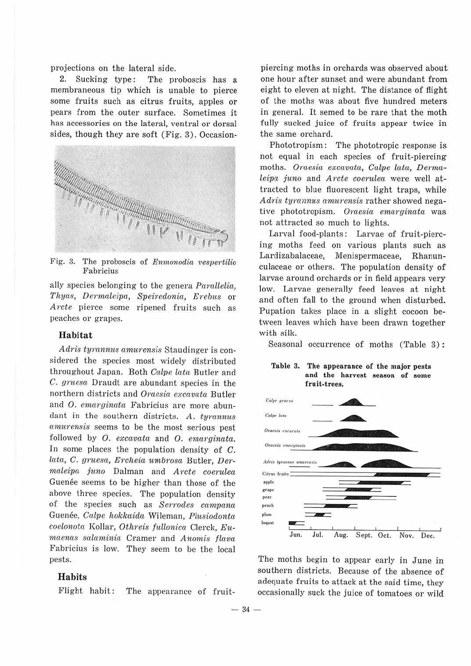projections on the lateral side.

2. Sucking type: The proboscis has a membraneous tip which is unable to pierce some fruits such as citrus fruits, apples or pears from the outer surface. Sometimes it has accessories on the lateral, ventral or dorsal sides, though they are soft (Fig. 3). Occasion-



Fig. 3. The proboscis of *Enmonodia vespertilio* Fabricius

ally species belonging to the genera *Parallelia, Thyas, Derrnaleiva., Speiredonia, E1·ebus* or *Arcte* pierce some ripened fruits such as peaches or grapes.

#### **Habitat**

*Adris tyrannus amurensis Staudinger is con*sidered the species most widely distributed throughout Japan. Both *Ccilve lata* Butler and *C. gruesa.* Draudt are abundant species in the northern districts and *Oraesia ea;cavata* Butler and *O. emarginata* Fabricius are more abundant in the southern districts. *A. tyrannus mnurensis* seems to be the most serious pest followed by O. excavata and O. emarginata. In some places the population density of C. *latc.1,, C. gruesa, Ercheia u1nb1·osa* Butler, *Der* $maleipa$  *juno* Dalman and *Arcte coerulea* Guenée seems to be higher than those of the above three species. The population density of the species such as *Sen·odes ccmipana*  Guenee, *Calve hokkaida* Wileman, *Plu.siodonta coelonota* Kollar, *Othreis fullonicci* Clerck, *Eii* $maenas$  salaminia Cramer and *Anomis flava* Fabricius is low. They seem to be the local pests.

### **Habits**

Flight habit: The appearance of fruit-

piercing moths in orchards was observed about one hour after sunset and were abundant from eight to eleven at night. The distance of flight of the moths was about five hundred meters in general. It semed to be rare that the moth fully sucked juice of fruits appear twice in the same orchard.

Phototropism: The phototropic response is not equal in each species of fruit-piercing moths. *Oraesia excavata, Calpe latci, Dermaleipa juno* and *Arcte coerulea* were well attracted to blue fluorescent light traps, while *Adris tyrannus amurensis* rather showed negative phototropism. *Oraesia emarginata* was not attracted so much to lights.

Larval food-plants: Larvae of fruit-piercing moths feed on various plants such as Lardizabalaceae, Menispermaceae, Rhanuncu laceae or others. The population density of larvae around orchards or in field appears very low. Larvae generally feed leaves at night and often fall to the ground when disturbed. Pupation takes place in a slight cocoon between leaves which have been drawn together with silk.

Seasonal occurrence of moths (Table 3):





The moths begin to appear early in June in southern districts. Because of the absence of adequate fruits to attack at the said time, they occasionally suck the juice of tomatoes or wild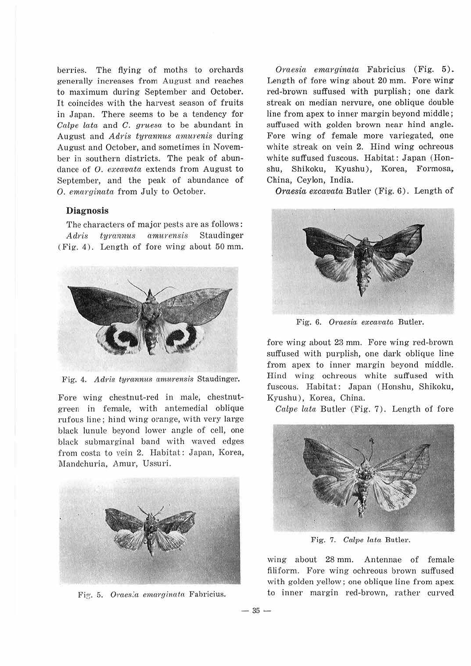berries. The flying of moths to orchards generally increases from August and reaches to maximum during September and October. It coincides with the harvest season of fruits in Japan. There seems to be a tendency for *Calpe lata* and *C. gruesa* to be abundant in August and *Adris tyrannus amurenis* during August and October, and sometimes in November in southern districts. The peak of abundance of 0. *excavata* extends from August to September, and the peak of abundance of 0. *emarginata* from July to October.

### **Diagnosis**

The characters of major pests are as follows: *Adris tyrannus amitrensis* Staudinger (Fig. 4). Length of fore wing about 50 mm.



Fig. 4. Adris tyrannus amurensis Staudinger.

Fore wing chestnut-red in male, chestnutgreen in female, with antemedial oblique rufous line; hind wing orange, with very large black lunule beyond lower angle of cell, one black submarginal band with waved edges from costa to vein 2. Habitat: Japan, Korea, Mandchuria, Amur, Ussuri.



Fig. 5. Oraesia emarginata Fabricius.

 $-35 -$ 

*Oraesia emcirginata* Fabricius (Fig. 5). Length of fore wing about 20 mm. Fore wing red-brown suffused with purplish; one dark streak on median nervure, one oblique double line from apex to inner margin beyond middle; suffused with golden brown near hind angle. Fore wing of female more variegated, one white streak on vein 2. Hind wing ochreous white suffused fuscous. Habitat: Japan (Honshu, Shikoku, Kyushu), Korea, Formosa, China, Ceylon, India.

*Oraesia excavata* Butler (Fig. 6). Length of



Fig. 6. *Oraesia excavata* Butler.

fore wing about 23 mm. Fore wing red-brown suffused with purplish, one dark oblique line from apex to inner margin beyond middle. Hind wing ochreous white suffused with fuscous. Habitat: Japan (Honshu, Shikoku, Kyushu), Korea, China.

*Calve lata* Butler (Fig. 7). Length of fore



Fig. 7. *Calve lata* Butler.

wing about 28 mm. Antennae of female filiform. Fore wing ochreous brown suffused with golden yellow; one oblique line from apex\_ to inner margin red-brown, rather curved